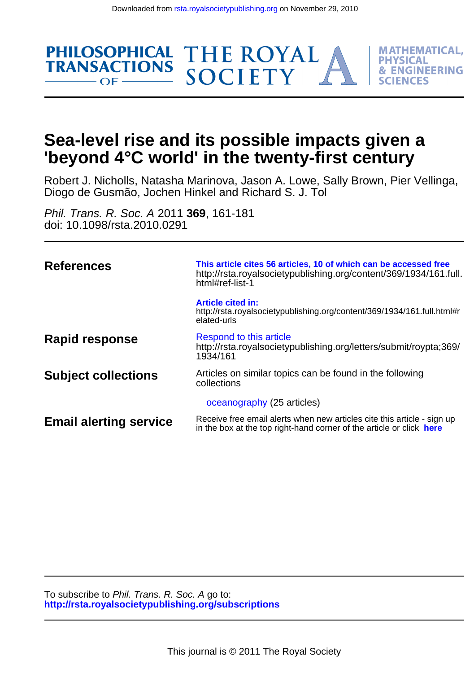

Diogo de Gusmão, Jochen Hinkel and Richard S. J. Tol Robert J. Nicholls, Natasha Marinova, Jason A. Lowe, Sally Brown, Pier Vellinga,

THE ROYAL<br>SOCIETY

**MATHEMATICAL. PHYSICAL** 

**& ENGINEERING** 

FS

doi: 10.1098/rsta.2010.0291 Phil. Trans. R. Soc. A 2011 **369**, 161-181

**PHILOSOPHICAL** 

**TRANSACTIONS** 

 $OF -$ 

| <b>References</b>             | This article cites 56 articles, 10 of which can be accessed free<br>http://rsta.royalsocietypublishing.org/content/369/1934/161.full.<br>html#ref-list-1 |
|-------------------------------|----------------------------------------------------------------------------------------------------------------------------------------------------------|
|                               | <b>Article cited in:</b><br>http://rsta.royalsocietypublishing.org/content/369/1934/161.full.html#r<br>elated-urls                                       |
| Rapid response                | Respond to this article<br>http://rsta.royalsocietypublishing.org/letters/submit/roypta;369/<br>1934/161                                                 |
| <b>Subject collections</b>    | Articles on similar topics can be found in the following<br>collections                                                                                  |
|                               | oceanography (25 articles)                                                                                                                               |
| <b>Email alerting service</b> | Receive free email alerts when new articles cite this article - sign up<br>in the box at the top right-hand corner of the article or click here          |

**<http://rsta.royalsocietypublishing.org/subscriptions>** To subscribe to Phil. Trans. R. Soc. A go to: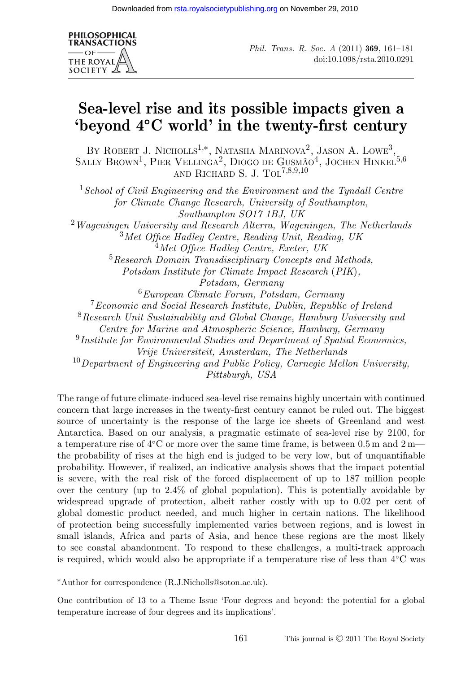

*Phil. Trans. R. Soc. A* (2011) **369**, 161–181 doi:10.1098/rsta.2010.0291

# **Sea-level rise and its possible impacts given a 'beyond 4◦C world' in the twenty-first century**

BY ROBERT J. NICHOLLS<sup>1,\*</sup>, NATASHA MARINOVA<sup>2</sup>, JASON A. LOWE<sup>3</sup>, SALLY BROWN<sup>1</sup>, PIER VELLINGA<sup>2</sup>, DIOGO DE GUSMÃO<sup>4</sup>, JOCHEN HINKEL<sup>5,6</sup> AND RICHARD S. J. TOL<sup>7,8,9,10</sup>

<sup>1</sup>*School of Civil Engineering and the Environment and the Tyndall Centre for Climate Change Research, University of Southampton, Southampton SO17 1BJ, UK* <sup>2</sup>*Wageningen University and Research Alterra, Wageningen, The Netherlands* <sup>3</sup>*Met Office Hadley Centre, Reading Unit, Reading, UK* <sup>4</sup>*Met Office Hadley Centre, Exeter, UK* <sup>5</sup>*Research Domain Transdisciplinary Concepts and Methods, Potsdam Institute for Climate Impact Research* (*PIK*)*, Potsdam, Germany* <sup>6</sup>*European Climate Forum, Potsdam, Germany* <sup>7</sup>*Economic and Social Research Institute, Dublin, Republic of Ireland* <sup>8</sup>*Research Unit Sustainability and Global Change, Hamburg University and Centre for Marine and Atmospheric Science, Hamburg, Germany* <sup>9</sup>*Institute for Environmental Studies and Department of Spatial Economics, Vrije Universiteit, Amsterdam, The Netherlands* <sup>10</sup>*Department of Engineering and Public Policy, Carnegie Mellon University, Pittsburgh, USA*

The range of future climate-induced sea-level rise remains highly uncertain with continued concern that large increases in the twenty-first century cannot be ruled out. The biggest source of uncertainty is the response of the large ice sheets of Greenland and west Antarctica. Based on our analysis, a pragmatic estimate of sea-level rise by 2100, for a temperature rise of 4◦C or more over the same time frame, is between 0.5 m and 2 m the probability of rises at the high end is judged to be very low, but of unquantifiable probability. However, if realized, an indicative analysis shows that the impact potential is severe, with the real risk of the forced displacement of up to 187 million people over the century (up to 2.4% of global population). This is potentially avoidable by widespread upgrade of protection, albeit rather costly with up to 0.02 per cent of global domestic product needed, and much higher in certain nations. The likelihood of protection being successfully implemented varies between regions, and is lowest in small islands, Africa and parts of Asia, and hence these regions are the most likely to see coastal abandonment. To respond to these challenges, a multi-track approach is required, which would also be appropriate if a temperature rise of less than 4◦C was

∗Author for correspondence (R.J.Nicholls@soton.ac.uk).

One contribution of 13 to a Theme Issue 'Four degrees and beyond: the potential for a global temperature increase of four degrees and its implications'.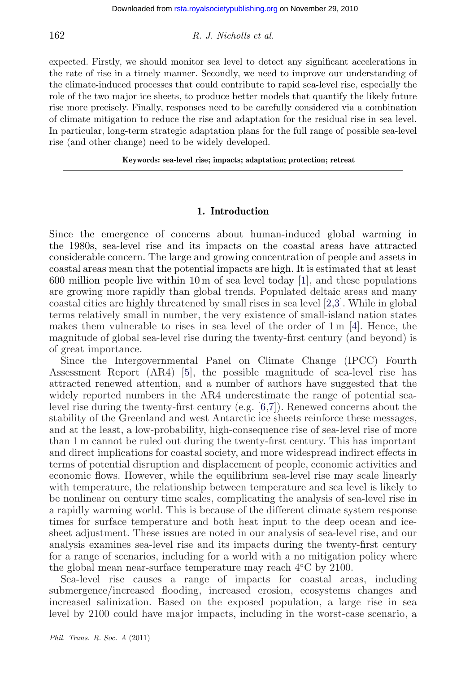expected. Firstly, we should monitor sea level to detect any significant accelerations in the rate of rise in a timely manner. Secondly, we need to improve our understanding of the climate-induced processes that could contribute to rapid sea-level rise, especially the role of the two major ice sheets, to produce better models that quantify the likely future rise more precisely. Finally, responses need to be carefully considered via a combination of climate mitigation to reduce the rise and adaptation for the residual rise in sea level. In particular, long-term strategic adaptation plans for the full range of possible sea-level rise (and other change) need to be widely developed.

**Keywords: sea-level rise; impacts; adaptation; protection; retreat**

#### **1. Introduction**

Since the emergence of concerns about human-induced global warming in the 1980s, sea-level rise and its impacts on the coastal areas have attracted considerable concern. The large and growing concentration of people and assets in coastal areas mean that the potential impacts are high. It is estimated that at least 600 million people live within 10 m of sea level today  $[1]$ , and these populations are growing more rapidly than global trends. Populated deltaic areas and many coastal cities are highly threatened by small rises in sea level [\[2,3\]](#page-17-0). While in global terms relatively small in number, the very existence of small-island nation states makes them vulnerable to rises in sea level of the order of  $1 \text{ m } [4]$  $1 \text{ m } [4]$ . Hence, the magnitude of global sea-level rise during the twenty-first century (and beyond) is of great importance.

Since the Intergovernmental Panel on Climate Change (IPCC) Fourth Assessment Report (AR4) [\[5\]](#page-18-0), the possible magnitude of sea-level rise has attracted renewed attention, and a number of authors have suggested that the widely reported numbers in the AR4 underestimate the range of potential sealevel rise during the twenty-first century (e.g. [\[6,7\]](#page-18-0)). Renewed concerns about the stability of the Greenland and west Antarctic ice sheets reinforce these messages, and at the least, a low-probability, high-consequence rise of sea-level rise of more than 1 m cannot be ruled out during the twenty-first century. This has important and direct implications for coastal society, and more widespread indirect effects in terms of potential disruption and displacement of people, economic activities and economic flows. However, while the equilibrium sea-level rise may scale linearly with temperature, the relationship between temperature and sea level is likely to be nonlinear on century time scales, complicating the analysis of sea-level rise in a rapidly warming world. This is because of the different climate system response times for surface temperature and both heat input to the deep ocean and icesheet adjustment. These issues are noted in our analysis of sea-level rise, and our analysis examines sea-level rise and its impacts during the twenty-first century for a range of scenarios, including for a world with a no mitigation policy where the global mean near-surface temperature may reach 4◦C by 2100.

Sea-level rise causes a range of impacts for coastal areas, including submergence/increased flooding, increased erosion, ecosystems changes and increased salinization. Based on the exposed population, a large rise in sea level by 2100 could have major impacts, including in the worst-case scenario, a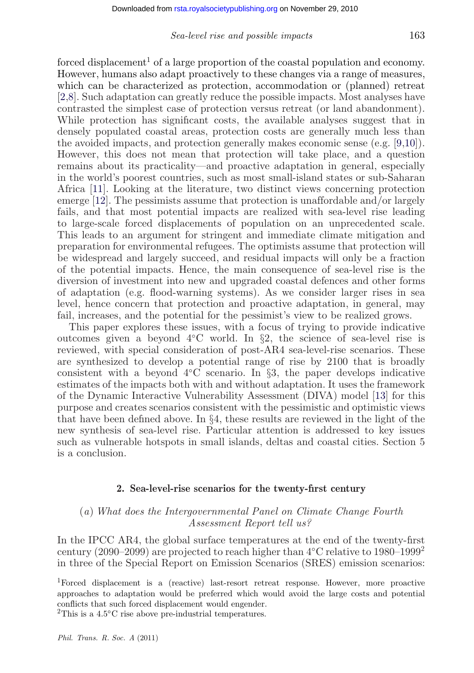forced displacement<sup>1</sup> of a large proportion of the coastal population and economy. However, humans also adapt proactively to these changes via a range of measures, which can be characterized as protection, accommodation or (planned) retreat [\[2](#page-17-0)[,8\]](#page-18-0). Such adaptation can greatly reduce the possible impacts. Most analyses have contrasted the simplest case of protection versus retreat (or land abandonment). While protection has significant costs, the available analyses suggest that in densely populated coastal areas, protection costs are generally much less than the avoided impacts, and protection generally makes economic sense (e.g. [\[9,10\]](#page-18-0)). However, this does not mean that protection will take place, and a question remains about its practicality—and proactive adaptation in general, especially in the world's poorest countries, such as most small-island states or sub-Saharan Africa [\[11\]](#page-18-0). Looking at the literature, two distinct views concerning protection emerge [\[12\]](#page-18-0). The pessimists assume that protection is unaffordable and/or largely fails, and that most potential impacts are realized with sea-level rise leading to large-scale forced displacements of population on an unprecedented scale. This leads to an argument for stringent and immediate climate mitigation and preparation for environmental refugees. The optimists assume that protection will be widespread and largely succeed, and residual impacts will only be a fraction of the potential impacts. Hence, the main consequence of sea-level rise is the diversion of investment into new and upgraded coastal defences and other forms of adaptation (e.g. flood-warning systems). As we consider larger rises in sea level, hence concern that protection and proactive adaptation, in general, may fail, increases, and the potential for the pessimist's view to be realized grows.

This paper explores these issues, with a focus of trying to provide indicative outcomes given a beyond  $4<sup>o</sup>C world. In §2, the science of sea-level rise is$ reviewed, with special consideration of post-AR4 sea-level-rise scenarios. These are synthesized to develop a potential range of rise by 2100 that is broadly consistent with a beyond  $4°C$  scenario. In §3, the paper develops indicative estimates of the impacts both with and without adaptation. It uses the framework of the Dynamic Interactive Vulnerability Assessment (DIVA) model [\[13\]](#page-18-0) for this purpose and creates scenarios consistent with the pessimistic and optimistic views that have been defined above. In §4, these results are reviewed in the light of the new synthesis of sea-level rise. Particular attention is addressed to key issues such as vulnerable hotspots in small islands, deltas and coastal cities. Section 5 is a conclusion.

#### **2. Sea-level-rise scenarios for the twenty-first century**

#### (*a*) *What does the Intergovernmental Panel on Climate Change Fourth Assessment Report tell us?*

In the IPCC AR4, the global surface temperatures at the end of the twenty-first century (2090–2099) are projected to reach higher than  $4°C$  relative to 1980–1999<sup>2</sup> in three of the Special Report on Emission Scenarios (SRES) emission scenarios:

1Forced displacement is a (reactive) last-resort retreat response. However, more proactive approaches to adaptation would be preferred which would avoid the large costs and potential conflicts that such forced displacement would engender.

 ${}^{2}$ This is a 4.5 ${}^{\circ}$ C rise above pre-industrial temperatures.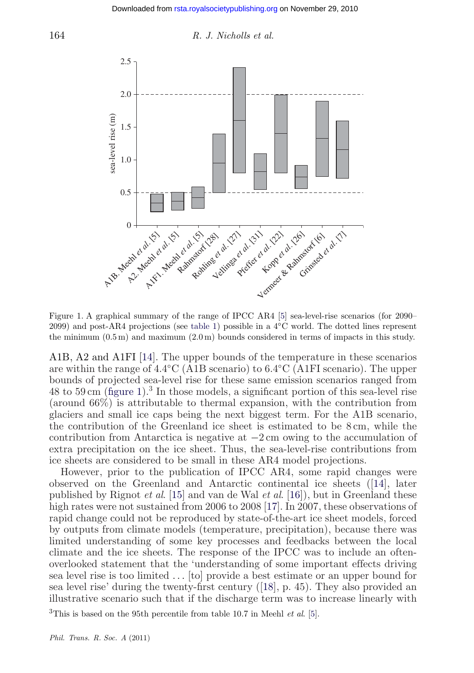<span id="page-4-0"></span>



Figure 1. A graphical summary of the range of IPCC AR4 [\[5\]](#page-18-0) sea-level-rise scenarios (for 2090– 2099) and post-AR4 projections (see [table 1\)](#page-7-0) possible in a 4◦C world. The dotted lines represent the minimum  $(0.5 \,\mathrm{m})$  and maximum  $(2.0 \,\mathrm{m})$  bounds considered in terms of impacts in this study.

A1B, A2 and A1FI [\[14\]](#page-18-0). The upper bounds of the temperature in these scenarios are within the range of 4.4◦C (A1B scenario) to 6.4◦C (A1FI scenario). The upper bounds of projected sea-level rise for these same emission scenarios ranged from 48 to 59 cm (figure 1).<sup>3</sup> In those models, a significant portion of this sea-level rise (around 66%) is attributable to thermal expansion, with the contribution from glaciers and small ice caps being the next biggest term. For the A1B scenario, the contribution of the Greenland ice sheet is estimated to be 8 cm, while the contribution from Antarctica is negative at −2 cm owing to the accumulation of extra precipitation on the ice sheet. Thus, the sea-level-rise contributions from ice sheets are considered to be small in these AR4 model projections.

However, prior to the publication of IPCC AR4, some rapid changes were observed on the Greenland and Antarctic continental ice sheets ([\[14\]](#page-18-0), later published by Rignot *et al*. [\[15\]](#page-18-0) and van de Wal *et al*. [\[16\]](#page-18-0)), but in Greenland these high rates were not sustained from 2006 to 2008 [\[17\]](#page-18-0). In 2007, these observations of rapid change could not be reproduced by state-of-the-art ice sheet models, forced by outputs from climate models (temperature, precipitation), because there was limited understanding of some key processes and feedbacks between the local climate and the ice sheets. The response of the IPCC was to include an oftenoverlooked statement that the 'understanding of some important effects driving sea level rise is too limited *...* [to] provide a best estimate or an upper bound for sea level rise' during the twenty-first century ([\[18\]](#page-18-0), p. 45). They also provided an illustrative scenario such that if the discharge term was to increase linearly with

3This is based on the 95th percentile from table 10.7 in Meehl *et al*. [\[5\]](#page-18-0).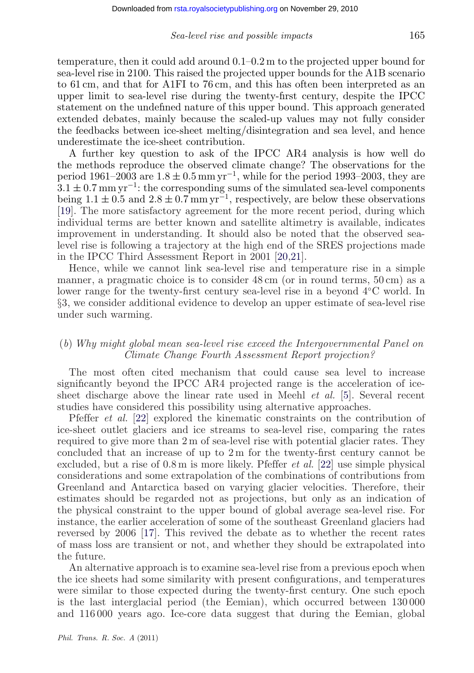temperature, then it could add around 0.1–0.2 m to the projected upper bound for sea-level rise in 2100. This raised the projected upper bounds for the A1B scenario to 61 cm, and that for A1FI to 76 cm, and this has often been interpreted as an upper limit to sea-level rise during the twenty-first century, despite the IPCC statement on the undefined nature of this upper bound. This approach generated extended debates, mainly because the scaled-up values may not fully consider the feedbacks between ice-sheet melting/disintegration and sea level, and hence underestimate the ice-sheet contribution.

A further key question to ask of the IPCC AR4 analysis is how well do the methods reproduce the observed climate change? The observations for the period 1961–2003 are  $1.8 \pm 0.5$  mm yr<sup>-1</sup>, while for the period 1993–2003, they are  $3.1 \pm 0.7$  mm yr<sup>-1</sup>: the corresponding sums of the simulated sea-level components being  $1.1 \pm 0.5$  and  $2.8 \pm 0.7$  mm yr<sup>-1</sup>, respectively, are below these observations [\[19\]](#page-18-0). The more satisfactory agreement for the more recent period, during which individual terms are better known and satellite altimetry is available, indicates improvement in understanding. It should also be noted that the observed sealevel rise is following a trajectory at the high end of the SRES projections made in the IPCC Third Assessment Report in 2001 [\[20,](#page-18-0)[21\]](#page-19-0).

Hence, while we cannot link sea-level rise and temperature rise in a simple manner, a pragmatic choice is to consider 48 cm (or in round terms, 50 cm) as a lower range for the twenty-first century sea-level rise in a beyond 4◦C world. In §3, we consider additional evidence to develop an upper estimate of sea-level rise under such warming.

#### (*b*) *Why might global mean sea-level rise exceed the Intergovernmental Panel on Climate Change Fourth Assessment Report projection?*

The most often cited mechanism that could cause sea level to increase significantly beyond the IPCC AR4 projected range is the acceleration of icesheet discharge above the linear rate used in Meehl *et al.* [\[5\]](#page-18-0). Several recent studies have considered this possibility using alternative approaches.

Pfeffer *et al.* [\[22\]](#page-19-0) explored the kinematic constraints on the contribution of ice-sheet outlet glaciers and ice streams to sea-level rise, comparing the rates required to give more than 2 m of sea-level rise with potential glacier rates. They concluded that an increase of up to 2 m for the twenty-first century cannot be excluded, but a rise of 0.8 m is more likely. Pfeffer *et al.* [\[22\]](#page-19-0) use simple physical considerations and some extrapolation of the combinations of contributions from Greenland and Antarctica based on varying glacier velocities. Therefore, their estimates should be regarded not as projections, but only as an indication of the physical constraint to the upper bound of global average sea-level rise. For instance, the earlier acceleration of some of the southeast Greenland glaciers had reversed by 2006 [\[17\]](#page-18-0). This revived the debate as to whether the recent rates of mass loss are transient or not, and whether they should be extrapolated into the future.

An alternative approach is to examine sea-level rise from a previous epoch when the ice sheets had some similarity with present configurations, and temperatures were similar to those expected during the twenty-first century. One such epoch is the last interglacial period (the Eemian), which occurred between 130 000 and 116 000 years ago. Ice-core data suggest that during the Eemian, global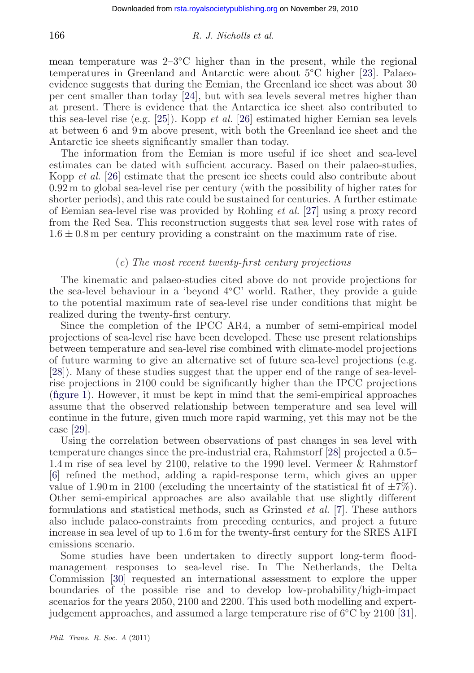mean temperature was  $2-3\degree C$  higher than in the present, while the regional temperatures in Greenland and Antarctic were about 5◦C higher [\[23\]](#page-19-0). Palaeoevidence suggests that during the Eemian, the Greenland ice sheet was about 30 per cent smaller than today [\[24\]](#page-19-0), but with sea levels several metres higher than at present. There is evidence that the Antarctica ice sheet also contributed to this sea-level rise (e.g. [\[25\]](#page-19-0)). Kopp *et al.* [\[26\]](#page-19-0) estimated higher Eemian sea levels at between 6 and 9 m above present, with both the Greenland ice sheet and the Antarctic ice sheets significantly smaller than today.

The information from the Eemian is more useful if ice sheet and sea-level estimates can be dated with sufficient accuracy. Based on their palaeo-studies, Kopp *et al.* [\[26\]](#page-19-0) estimate that the present ice sheets could also contribute about 0.92 m to global sea-level rise per century (with the possibility of higher rates for shorter periods), and this rate could be sustained for centuries. A further estimate of Eemian sea-level rise was provided by Rohling *et al.* [\[27\]](#page-19-0) using a proxy record from the Red Sea. This reconstruction suggests that sea level rose with rates of  $1.6 \pm 0.8$  m per century providing a constraint on the maximum rate of rise.

#### (*c*) *The most recent twenty-first century projections*

The kinematic and palaeo-studies cited above do not provide projections for the sea-level behaviour in a 'beyond 4◦C' world. Rather, they provide a guide to the potential maximum rate of sea-level rise under conditions that might be realized during the twenty-first century.

Since the completion of the IPCC AR4, a number of semi-empirical model projections of sea-level rise have been developed. These use present relationships between temperature and sea-level rise combined with climate-model projections of future warming to give an alternative set of future sea-level projections (e.g. [\[28\]](#page-19-0)). Many of these studies suggest that the upper end of the range of sea-levelrise projections in 2100 could be significantly higher than the IPCC projections [\(figure 1\)](#page-4-0). However, it must be kept in mind that the semi-empirical approaches assume that the observed relationship between temperature and sea level will continue in the future, given much more rapid warming, yet this may not be the case [\[29\]](#page-19-0).

Using the correlation between observations of past changes in sea level with temperature changes since the pre-industrial era, Rahmstorf [\[28\]](#page-19-0) projected a 0.5– 1.4 m rise of sea level by 2100, relative to the 1990 level. Vermeer & Rahmstorf [\[6\]](#page-18-0) refined the method, adding a rapid-response term, which gives an upper value of 1.90 m in 2100 (excluding the uncertainty of the statistical fit of  $\pm 7\%$ ). Other semi-empirical approaches are also available that use slightly different formulations and statistical methods, such as Grinsted *et al.* [\[7\]](#page-18-0). These authors also include palaeo-constraints from preceding centuries, and project a future increase in sea level of up to 1.6 m for the twenty-first century for the SRES A1FI emissions scenario.

Some studies have been undertaken to directly support long-term floodmanagement responses to sea-level rise. In The Netherlands, the Delta Commission [\[30\]](#page-19-0) requested an international assessment to explore the upper boundaries of the possible rise and to develop low-probability/high-impact scenarios for the years 2050, 2100 and 2200. This used both modelling and expertjudgement approaches, and assumed a large temperature rise of 6◦C by 2100 [\[31\]](#page-19-0).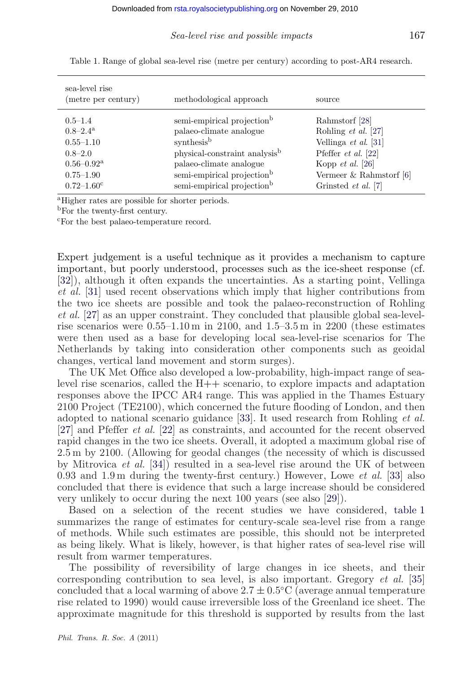| sea-level rise<br>(metre per century) | methodological approach                   | source                     |
|---------------------------------------|-------------------------------------------|----------------------------|
| $0.5 - 1.4$                           | semi-empirical projection <sup>b</sup>    | Rahmstorf [28]             |
| $0.8 - 2.4^{\rm a}$                   | palaeo-climate analogue                   | Rohling et al. [27]        |
| $0.55 - 1.10$                         | synthesis <sup>b</sup>                    | Vellinga et al. $[31]$     |
| $0.8 - 2.0$                           | physical-constraint analysis <sup>b</sup> | Pfeffer $et$ al. [22]      |
| $0.56 - 0.92$ <sup>a</sup>            | palaeo-climate analogue                   | Kopp $et \ al. [26]$       |
| $0.75 - 1.90$                         | semi-empirical projection <sup>b</sup>    | Vermeer $&$ Rahmstorf [6]  |
| $0.72 - 1.60^{\circ}$                 | semi-empirical projection <sup>b</sup>    | Grinsted <i>et al.</i> [7] |

<span id="page-7-0"></span>Table 1. Range of global sea-level rise (metre per century) according to post-AR4 research.

aHigher rates are possible for shorter periods.

<sup>b</sup>For the twenty-first century.

cFor the best palaeo-temperature record.

Expert judgement is a useful technique as it provides a mechanism to capture important, but poorly understood, processes such as the ice-sheet response (cf. [\[32\]](#page-19-0)), although it often expands the uncertainties. As a starting point, Vellinga *et al.* [\[31\]](#page-19-0) used recent observations which imply that higher contributions from the two ice sheets are possible and took the palaeo-reconstruction of Rohling *et al.* [\[27\]](#page-19-0) as an upper constraint. They concluded that plausible global sea-levelrise scenarios were 0.55–1.10 m in 2100, and 1.5–3.5 m in 2200 (these estimates were then used as a base for developing local sea-level-rise scenarios for The Netherlands by taking into consideration other components such as geoidal changes, vertical land movement and storm surges).

The UK Met Office also developed a low-probability, high-impact range of sealevel rise scenarios, called the H++ scenario, to explore impacts and adaptation responses above the IPCC AR4 range. This was applied in the Thames Estuary 2100 Project (TE2100), which concerned the future flooding of London, and then adopted to national scenario guidance [\[33\]](#page-19-0). It used research from Rohling *et al.* [\[27\]](#page-19-0) and Pfeffer *et al.* [\[22\]](#page-19-0) as constraints, and accounted for the recent observed rapid changes in the two ice sheets. Overall, it adopted a maximum global rise of 2.5 m by 2100. (Allowing for geodal changes (the necessity of which is discussed by Mitrovica *et al.* [\[34\]](#page-19-0)) resulted in a sea-level rise around the UK of between 0.93 and 1.9 m during the twenty-first century.) However, Lowe *et al.* [\[33\]](#page-19-0) also concluded that there is evidence that such a large increase should be considered very unlikely to occur during the next 100 years (see also [\[29\]](#page-19-0)).

Based on a selection of the recent studies we have considered, table 1 summarizes the range of estimates for century-scale sea-level rise from a range of methods. While such estimates are possible, this should not be interpreted as being likely. What is likely, however, is that higher rates of sea-level rise will result from warmer temperatures.

The possibility of reversibility of large changes in ice sheets, and their corresponding contribution to sea level, is also important. Gregory *et al.* [\[35\]](#page-19-0) concluded that a local warming of above  $2.7 \pm 0.5$ °C (average annual temperature rise related to 1990) would cause irreversible loss of the Greenland ice sheet. The approximate magnitude for this threshold is supported by results from the last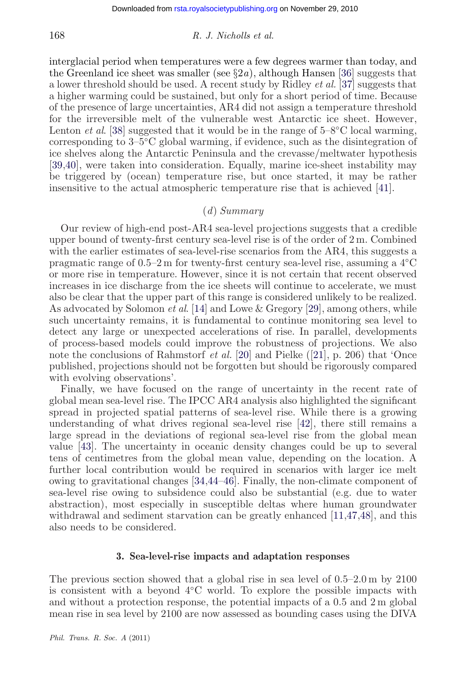interglacial period when temperatures were a few degrees warmer than today, and the Greenland ice sheet was smaller (see  $\S 2a$ ), although Hansen [\[36\]](#page-19-0) suggests that a lower threshold should be used. A recent study by Ridley *et al.* [\[37\]](#page-19-0) suggests that a higher warming could be sustained, but only for a short period of time. Because of the presence of large uncertainties, AR4 did not assign a temperature threshold for the irreversible melt of the vulnerable west Antarctic ice sheet. However, Lenton *et al.* [\[38\]](#page-19-0) suggested that it would be in the range of 5–8°C local warming, corresponding to 3–5◦C global warming, if evidence, such as the disintegration of ice shelves along the Antarctic Peninsula and the crevasse/meltwater hypothesis [\[39,40\]](#page-19-0), were taken into consideration. Equally, marine ice-sheet instability may be triggered by (ocean) temperature rise, but once started, it may be rather insensitive to the actual atmospheric temperature rise that is achieved [\[41\]](#page-19-0).

#### (*d*) *Summary*

Our review of high-end post-AR4 sea-level projections suggests that a credible upper bound of twenty-first century sea-level rise is of the order of 2 m. Combined with the earlier estimates of sea-level-rise scenarios from the AR4, this suggests a pragmatic range of 0.5–2 m for twenty-first century sea-level rise, assuming a 4◦C or more rise in temperature. However, since it is not certain that recent observed increases in ice discharge from the ice sheets will continue to accelerate, we must also be clear that the upper part of this range is considered unlikely to be realized. As advocated by Solomon *et al*. [\[14\]](#page-18-0) and Lowe & Gregory [\[29\]](#page-19-0), among others, while such uncertainty remains, it is fundamental to continue monitoring sea level to detect any large or unexpected accelerations of rise. In parallel, developments of process-based models could improve the robustness of projections. We also note the conclusions of Rahmstorf *et al.* [\[20\]](#page-18-0) and Pielke ([\[21\]](#page-19-0), p. 206) that 'Once published, projections should not be forgotten but should be rigorously compared with evolving observations'.

Finally, we have focused on the range of uncertainty in the recent rate of global mean sea-level rise. The IPCC AR4 analysis also highlighted the significant spread in projected spatial patterns of sea-level rise. While there is a growing understanding of what drives regional sea-level rise [\[42\]](#page-19-0), there still remains a large spread in the deviations of regional sea-level rise from the global mean value [\[43\]](#page-20-0). The uncertainty in oceanic density changes could be up to several tens of centimetres from the global mean value, depending on the location. A further local contribution would be required in scenarios with larger ice melt owing to gravitational changes [\[34](#page-19-0)[,44–46\]](#page-20-0). Finally, the non-climate component of sea-level rise owing to subsidence could also be substantial (e.g. due to water abstraction), most especially in susceptible deltas where human groundwater withdrawal and sediment starvation can be greatly enhanced [\[11,](#page-18-0)[47,48\]](#page-20-0), and this also needs to be considered.

#### **3. Sea-level-rise impacts and adaptation responses**

The previous section showed that a global rise in sea level of 0.5–2.0 m by 2100 is consistent with a beyond 4◦C world. To explore the possible impacts with and without a protection response, the potential impacts of a 0.5 and 2 m global mean rise in sea level by 2100 are now assessed as bounding cases using the DIVA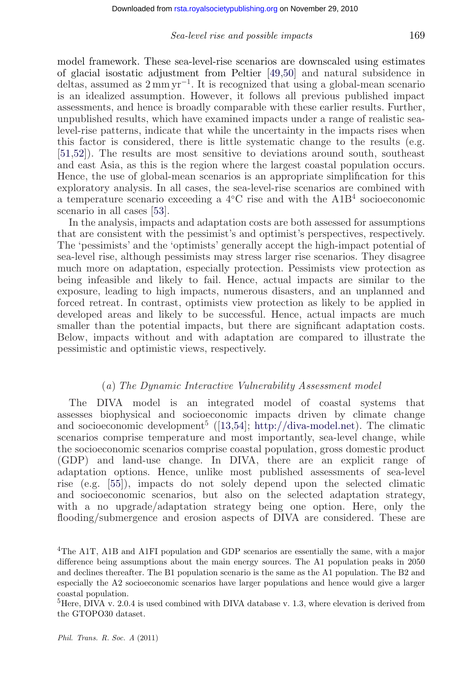model framework. These sea-level-rise scenarios are downscaled using estimates of glacial isostatic adjustment from Peltier [\[49,50\]](#page-20-0) and natural subsidence in deltas, assumed as  $2 \text{ mm yr}^{-1}$ . It is recognized that using a global-mean scenario is an idealized assumption. However, it follows all previous published impact assessments, and hence is broadly comparable with these earlier results. Further, unpublished results, which have examined impacts under a range of realistic sealevel-rise patterns, indicate that while the uncertainty in the impacts rises when this factor is considered, there is little systematic change to the results (e.g. [\[51,52\]](#page-20-0)). The results are most sensitive to deviations around south, southeast and east Asia, as this is the region where the largest coastal population occurs. Hence, the use of global-mean scenarios is an appropriate simplification for this exploratory analysis. In all cases, the sea-level-rise scenarios are combined with a temperature scenario exceeding a 4◦C rise and with the A1B<sup>4</sup> socioeconomic scenario in all cases [\[53\]](#page-20-0).

In the analysis, impacts and adaptation costs are both assessed for assumptions that are consistent with the pessimist's and optimist's perspectives, respectively. The 'pessimists' and the 'optimists' generally accept the high-impact potential of sea-level rise, although pessimists may stress larger rise scenarios. They disagree much more on adaptation, especially protection. Pessimists view protection as being infeasible and likely to fail. Hence, actual impacts are similar to the exposure, leading to high impacts, numerous disasters, and an unplanned and forced retreat. In contrast, optimists view protection as likely to be applied in developed areas and likely to be successful. Hence, actual impacts are much smaller than the potential impacts, but there are significant adaptation costs. Below, impacts without and with adaptation are compared to illustrate the pessimistic and optimistic views, respectively.

#### (*a*) *The Dynamic Interactive Vulnerability Assessment model*

The DIVA model is an integrated model of coastal systems that assesses biophysical and socioeconomic impacts driven by climate change and socioeconomic development<sup>5</sup> ([\[13](#page-18-0)[,54\]](#page-20-0); [http://diva-model.net\)](http://diva-model.net). The climatic scenarios comprise temperature and most importantly, sea-level change, while the socioeconomic scenarios comprise coastal population, gross domestic product (GDP) and land-use change. In DIVA, there are an explicit range of adaptation options. Hence, unlike most published assessments of sea-level rise (e.g. [\[55\]](#page-20-0)), impacts do not solely depend upon the selected climatic and socioeconomic scenarios, but also on the selected adaptation strategy, with a no upgrade/adaptation strategy being one option. Here, only the flooding/submergence and erosion aspects of DIVA are considered. These are

<sup>4</sup>The A1T, A1B and A1FI population and GDP scenarios are essentially the same, with a major difference being assumptions about the main energy sources. The A1 population peaks in 2050 and declines thereafter. The B1 population scenario is the same as the A1 population. The B2 and especially the A2 socioeconomic scenarios have larger populations and hence would give a larger coastal population.

 ${}^{5}$ Here, DIVA v. 2.0.4 is used combined with DIVA database v. 1.3, where elevation is derived from the GTOPO30 dataset.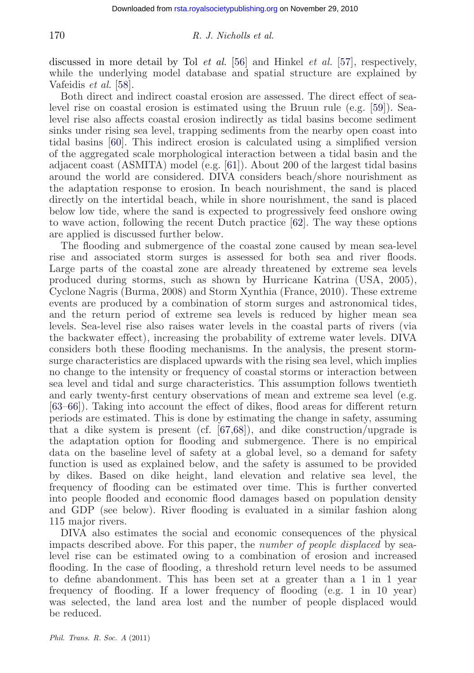discussed in more detail by Tol *et al.* [\[56\]](#page-20-0) and Hinkel *et al.* [\[57\]](#page-20-0), respectively, while the underlying model database and spatial structure are explained by Vafeidis *et al.* [\[58\]](#page-20-0).

Both direct and indirect coastal erosion are assessed. The direct effect of sealevel rise on coastal erosion is estimated using the Bruun rule (e.g. [\[59\]](#page-20-0)). Sealevel rise also affects coastal erosion indirectly as tidal basins become sediment sinks under rising sea level, trapping sediments from the nearby open coast into tidal basins [\[60\]](#page-20-0). This indirect erosion is calculated using a simplified version of the aggregated scale morphological interaction between a tidal basin and the adjacent coast (ASMITA) model (e.g. [\[61\]](#page-20-0)). About 200 of the largest tidal basins around the world are considered. DIVA considers beach/shore nourishment as the adaptation response to erosion. In beach nourishment, the sand is placed directly on the intertidal beach, while in shore nourishment, the sand is placed below low tide, where the sand is expected to progressively feed onshore owing to wave action, following the recent Dutch practice [\[62\]](#page-20-0). The way these options are applied is discussed further below.

The flooding and submergence of the coastal zone caused by mean sea-level rise and associated storm surges is assessed for both sea and river floods. Large parts of the coastal zone are already threatened by extreme sea levels produced during storms, such as shown by Hurricane Katrina (USA, 2005), Cyclone Nagris (Burma, 2008) and Storm Xynthia (France, 2010). These extreme events are produced by a combination of storm surges and astronomical tides, and the return period of extreme sea levels is reduced by higher mean sea levels. Sea-level rise also raises water levels in the coastal parts of rivers (via the backwater effect), increasing the probability of extreme water levels. DIVA considers both these flooding mechanisms. In the analysis, the present stormsurge characteristics are displaced upwards with the rising sea level, which implies no change to the intensity or frequency of coastal storms or interaction between sea level and tidal and surge characteristics. This assumption follows twentieth and early twenty-first century observations of mean and extreme sea level (e.g. [\[63–](#page-20-0)[66\]](#page-21-0)). Taking into account the effect of dikes, flood areas for different return periods are estimated. This is done by estimating the change in safety, assuming that a dike system is present (cf. [\[67,68\]](#page-21-0)), and dike construction/upgrade is the adaptation option for flooding and submergence. There is no empirical data on the baseline level of safety at a global level, so a demand for safety function is used as explained below, and the safety is assumed to be provided by dikes. Based on dike height, land elevation and relative sea level, the frequency of flooding can be estimated over time. This is further converted into people flooded and economic flood damages based on population density and GDP (see below). River flooding is evaluated in a similar fashion along 115 major rivers.

DIVA also estimates the social and economic consequences of the physical impacts described above. For this paper, the *number of people displaced* by sealevel rise can be estimated owing to a combination of erosion and increased flooding. In the case of flooding, a threshold return level needs to be assumed to define abandonment. This has been set at a greater than a 1 in 1 year frequency of flooding. If a lower frequency of flooding (e.g. 1 in 10 year) was selected, the land area lost and the number of people displaced would be reduced.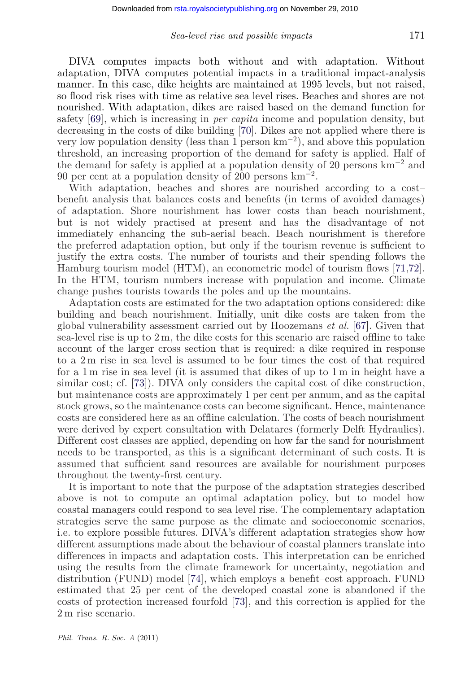DIVA computes impacts both without and with adaptation. Without adaptation, DIVA computes potential impacts in a traditional impact-analysis manner. In this case, dike heights are maintained at 1995 levels, but not raised, so flood risk rises with time as relative sea level rises. Beaches and shores are not nourished. With adaptation, dikes are raised based on the demand function for safety [\[69\]](#page-21-0), which is increasing in *per capita* income and population density, but decreasing in the costs of dike building [\[70\]](#page-21-0). Dikes are not applied where there is very low population density (less than 1 person  $km^{-2}$ ), and above this population threshold, an increasing proportion of the demand for safety is applied. Half of the demand for safety is applied at a population density of 20 persons  $km^{-2}$  and 90 per cent at a population density of 200 persons  $\text{km}^{-2}$ .

With adaptation, beaches and shores are nourished according to a cost– benefit analysis that balances costs and benefits (in terms of avoided damages) of adaptation. Shore nourishment has lower costs than beach nourishment, but is not widely practised at present and has the disadvantage of not immediately enhancing the sub-aerial beach. Beach nourishment is therefore the preferred adaptation option, but only if the tourism revenue is sufficient to justify the extra costs. The number of tourists and their spending follows the Hamburg tourism model (HTM), an econometric model of tourism flows [\[71,72\]](#page-21-0). In the HTM, tourism numbers increase with population and income. Climate change pushes tourists towards the poles and up the mountains.

Adaptation costs are estimated for the two adaptation options considered: dike building and beach nourishment. Initially, unit dike costs are taken from the global vulnerability assessment carried out by Hoozemans *et al.* [\[67\]](#page-21-0). Given that sea-level rise is up to  $2 \text{ m}$ , the dike costs for this scenario are raised offline to take account of the larger cross section that is required: a dike required in response to a 2 m rise in sea level is assumed to be four times the cost of that required for a 1 m rise in sea level (it is assumed that dikes of up to 1 m in height have a similar cost; cf. [\[73\]](#page-21-0)). DIVA only considers the capital cost of dike construction, but maintenance costs are approximately 1 per cent per annum, and as the capital stock grows, so the maintenance costs can become significant. Hence, maintenance costs are considered here as an offline calculation. The costs of beach nourishment were derived by expert consultation with Delatares (formerly Delft Hydraulics). Different cost classes are applied, depending on how far the sand for nourishment needs to be transported, as this is a significant determinant of such costs. It is assumed that sufficient sand resources are available for nourishment purposes throughout the twenty-first century.

It is important to note that the purpose of the adaptation strategies described above is not to compute an optimal adaptation policy, but to model how coastal managers could respond to sea level rise. The complementary adaptation strategies serve the same purpose as the climate and socioeconomic scenarios, i.e. to explore possible futures. DIVA's different adaptation strategies show how different assumptions made about the behaviour of coastal planners translate into differences in impacts and adaptation costs. This interpretation can be enriched using the results from the climate framework for uncertainty, negotiation and distribution (FUND) model [\[74\]](#page-21-0), which employs a benefit–cost approach. FUND estimated that 25 per cent of the developed coastal zone is abandoned if the costs of protection increased fourfold [\[73\]](#page-21-0), and this correction is applied for the 2 m rise scenario.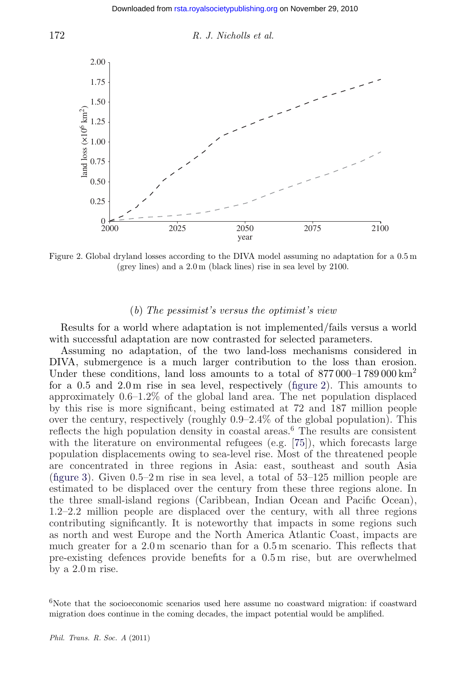



Figure 2. Global dryland losses according to the DIVA model assuming no adaptation for a 0.5 m (grey lines) and a 2.0 m (black lines) rise in sea level by 2100.

#### (*b*) *The pessimist's versus the optimist's view*

Results for a world where adaptation is not implemented/fails versus a world with successful adaptation are now contrasted for selected parameters.

Assuming no adaptation, of the two land-loss mechanisms considered in DIVA, submergence is a much larger contribution to the loss than erosion. Under these conditions, land loss amounts to a total of  $877\,000-1789\,000 \,\mathrm{km}^2$ for a 0.5 and 2.0 m rise in sea level, respectively (figure 2). This amounts to approximately 0.6–1.2% of the global land area. The net population displaced by this rise is more significant, being estimated at 72 and 187 million people over the century, respectively (roughly 0.9–2.4% of the global population). This reflects the high population density in coastal areas.<sup>6</sup> The results are consistent with the literature on environmental refugees (e.g. [\[75\]](#page-21-0)), which forecasts large population displacements owing to sea-level rise. Most of the threatened people are concentrated in three regions in Asia: east, southeast and south Asia [\(figure 3\)](#page-13-0). Given 0.5–2 m rise in sea level, a total of 53–125 million people are estimated to be displaced over the century from these three regions alone. In the three small-island regions (Caribbean, Indian Ocean and Pacific Ocean), 1.2–2.2 million people are displaced over the century, with all three regions contributing significantly. It is noteworthy that impacts in some regions such as north and west Europe and the North America Atlantic Coast, impacts are much greater for a 2.0 m scenario than for a 0.5 m scenario. This reflects that pre-existing defences provide benefits for a 0.5 m rise, but are overwhelmed by a 2.0 m rise.

 $6$ Note that the socioeconomic scenarios used here assume no coastward migration: if coastward migration does continue in the coming decades, the impact potential would be amplified.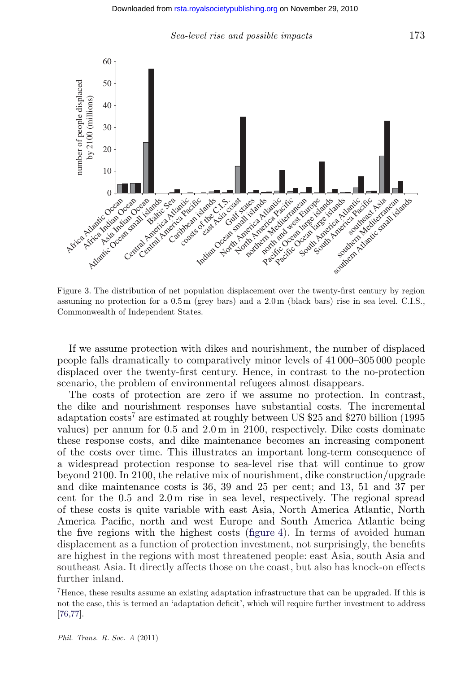

<span id="page-13-0"></span>

Figure 3. The distribution of net population displacement over the twenty-first century by region assuming no protection for a 0.5 m (grey bars) and a 2.0 m (black bars) rise in sea level. C.I.S., Commonwealth of Independent States.

If we assume protection with dikes and nourishment, the number of displaced people falls dramatically to comparatively minor levels of 41 000–305 000 people displaced over the twenty-first century. Hence, in contrast to the no-protection scenario, the problem of environmental refugees almost disappears.

The costs of protection are zero if we assume no protection. In contrast, the dike and nourishment responses have substantial costs. The incremental adaptation costs<sup>7</sup> are estimated at roughly between US \$25 and \$270 billion (1995 values) per annum for 0.5 and 2.0 m in 2100, respectively. Dike costs dominate these response costs, and dike maintenance becomes an increasing component of the costs over time. This illustrates an important long-term consequence of a widespread protection response to sea-level rise that will continue to grow beyond 2100. In 2100, the relative mix of nourishment, dike construction/upgrade and dike maintenance costs is 36, 39 and 25 per cent; and 13, 51 and 37 per cent for the 0.5 and 2.0 m rise in sea level, respectively. The regional spread of these costs is quite variable with east Asia, North America Atlantic, North America Pacific, north and west Europe and South America Atlantic being the five regions with the highest costs [\(figure 4\)](#page-14-0). In terms of avoided human displacement as a function of protection investment, not surprisingly, the benefits are highest in the regions with most threatened people: east Asia, south Asia and southeast Asia. It directly affects those on the coast, but also has knock-on effects further inland.

7Hence, these results assume an existing adaptation infrastructure that can be upgraded. If this is not the case, this is termed an 'adaptation deficit', which will require further investment to address [\[76,77\]](#page-21-0).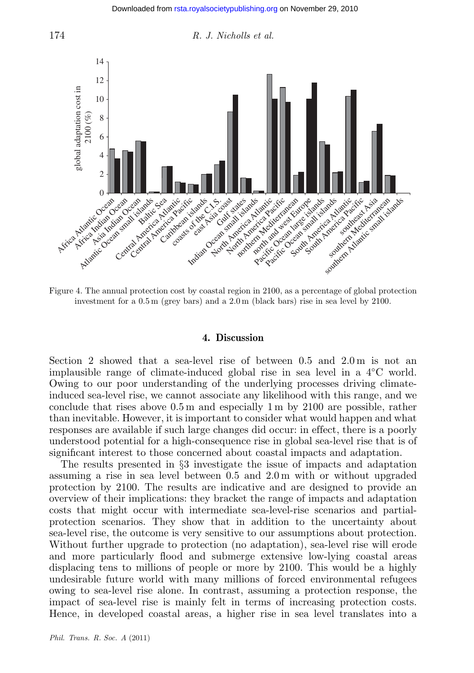<span id="page-14-0"></span>



Figure 4. The annual protection cost by coastal region in 2100, as a percentage of global protection investment for a 0.5 m (grey bars) and a 2.0 m (black bars) rise in sea level by 2100.

#### **4. Discussion**

Section 2 showed that a sea-level rise of between 0.5 and 2.0 m is not an implausible range of climate-induced global rise in sea level in a 4◦C world. Owing to our poor understanding of the underlying processes driving climateinduced sea-level rise, we cannot associate any likelihood with this range, and we conclude that rises above 0.5 m and especially 1 m by 2100 are possible, rather than inevitable. However, it is important to consider what would happen and what responses are available if such large changes did occur: in effect, there is a poorly understood potential for a high-consequence rise in global sea-level rise that is of significant interest to those concerned about coastal impacts and adaptation.

The results presented in §3 investigate the issue of impacts and adaptation assuming a rise in sea level between 0.5 and 2.0 m with or without upgraded protection by 2100. The results are indicative and are designed to provide an overview of their implications: they bracket the range of impacts and adaptation costs that might occur with intermediate sea-level-rise scenarios and partialprotection scenarios. They show that in addition to the uncertainty about sea-level rise, the outcome is very sensitive to our assumptions about protection. Without further upgrade to protection (no adaptation), sea-level rise will erode and more particularly flood and submerge extensive low-lying coastal areas displacing tens to millions of people or more by 2100. This would be a highly undesirable future world with many millions of forced environmental refugees owing to sea-level rise alone. In contrast, assuming a protection response, the impact of sea-level rise is mainly felt in terms of increasing protection costs. Hence, in developed coastal areas, a higher rise in sea level translates into a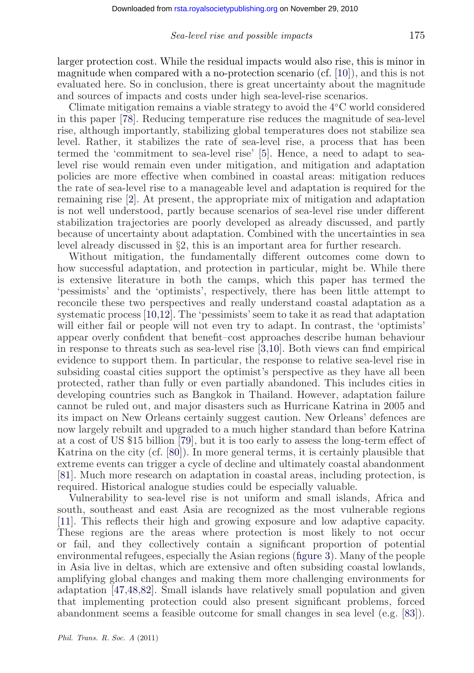larger protection cost. While the residual impacts would also rise, this is minor in magnitude when compared with a no-protection scenario (cf. [\[10\]](#page-18-0)), and this is not evaluated here. So in conclusion, there is great uncertainty about the magnitude and sources of impacts and costs under high sea-level-rise scenarios.

Climate mitigation remains a viable strategy to avoid the 4◦C world considered in this paper [\[78\]](#page-21-0). Reducing temperature rise reduces the magnitude of sea-level rise, although importantly, stabilizing global temperatures does not stabilize sea level. Rather, it stabilizes the rate of sea-level rise, a process that has been termed the 'commitment to sea-level rise' [\[5\]](#page-18-0). Hence, a need to adapt to sealevel rise would remain even under mitigation, and mitigation and adaptation policies are more effective when combined in coastal areas: mitigation reduces the rate of sea-level rise to a manageable level and adaptation is required for the remaining rise [\[2\]](#page-17-0). At present, the appropriate mix of mitigation and adaptation is not well understood, partly because scenarios of sea-level rise under different stabilization trajectories are poorly developed as already discussed, and partly because of uncertainty about adaptation. Combined with the uncertainties in sea level already discussed in §2, this is an important area for further research.

Without mitigation, the fundamentally different outcomes come down to how successful adaptation, and protection in particular, might be. While there is extensive literature in both the camps, which this paper has termed the 'pessimists' and the 'optimists', respectively, there has been little attempt to reconcile these two perspectives and really understand coastal adaptation as a systematic process [\[10,12\]](#page-18-0). The 'pessimists' seem to take it as read that adaptation will either fail or people will not even try to adapt. In contrast, the 'optimists' appear overly confident that benefit–cost approaches describe human behaviour in response to threats such as sea-level rise [\[3,](#page-17-0)[10\]](#page-18-0). Both views can find empirical evidence to support them. In particular, the response to relative sea-level rise in subsiding coastal cities support the optimist's perspective as they have all been protected, rather than fully or even partially abandoned. This includes cities in developing countries such as Bangkok in Thailand. However, adaptation failure cannot be ruled out, and major disasters such as Hurricane Katrina in 2005 and its impact on New Orleans certainly suggest caution. New Orleans' defences are now largely rebuilt and upgraded to a much higher standard than before Katrina at a cost of US \$15 billion [\[79\]](#page-21-0), but it is too early to assess the long-term effect of Katrina on the city (cf. [\[80\]](#page-21-0)). In more general terms, it is certainly plausible that extreme events can trigger a cycle of decline and ultimately coastal abandonment [\[81\]](#page-21-0). Much more research on adaptation in coastal areas, including protection, is required. Historical analogue studies could be especially valuable.

Vulnerability to sea-level rise is not uniform and small islands, Africa and south, southeast and east Asia are recognized as the most vulnerable regions [\[11\]](#page-18-0). This reflects their high and growing exposure and low adaptive capacity. These regions are the areas where protection is most likely to not occur or fail, and they collectively contain a significant proportion of potential environmental refugees, especially the Asian regions [\(figure 3\)](#page-13-0). Many of the people in Asia live in deltas, which are extensive and often subsiding coastal lowlands, amplifying global changes and making them more challenging environments for adaptation [\[47,48,](#page-20-0)[82\]](#page-21-0). Small islands have relatively small population and given that implementing protection could also present significant problems, forced abandonment seems a feasible outcome for small changes in sea level (e.g. [\[83\]](#page-21-0)).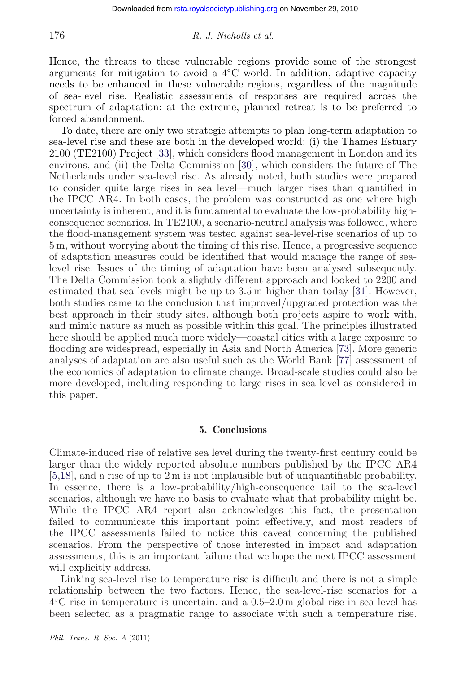Hence, the threats to these vulnerable regions provide some of the strongest arguments for mitigation to avoid a 4◦C world. In addition, adaptive capacity needs to be enhanced in these vulnerable regions, regardless of the magnitude of sea-level rise. Realistic assessments of responses are required across the spectrum of adaptation: at the extreme, planned retreat is to be preferred to forced abandonment.

To date, there are only two strategic attempts to plan long-term adaptation to sea-level rise and these are both in the developed world: (i) the Thames Estuary 2100 (TE2100) Project [\[33\]](#page-19-0), which considers flood management in London and its environs, and (ii) the Delta Commission [\[30\]](#page-19-0), which considers the future of The Netherlands under sea-level rise. As already noted, both studies were prepared to consider quite large rises in sea level—much larger rises than quantified in the IPCC AR4. In both cases, the problem was constructed as one where high uncertainty is inherent, and it is fundamental to evaluate the low-probability highconsequence scenarios. In TE2100, a scenario-neutral analysis was followed, where the flood-management system was tested against sea-level-rise scenarios of up to 5 m, without worrying about the timing of this rise. Hence, a progressive sequence of adaptation measures could be identified that would manage the range of sealevel rise. Issues of the timing of adaptation have been analysed subsequently. The Delta Commission took a slightly different approach and looked to 2200 and estimated that sea levels might be up to  $3.5 \text{ m}$  higher than today [\[31\]](#page-19-0). However, both studies came to the conclusion that improved/upgraded protection was the best approach in their study sites, although both projects aspire to work with, and mimic nature as much as possible within this goal. The principles illustrated here should be applied much more widely—coastal cities with a large exposure to flooding are widespread, especially in Asia and North America [\[73\]](#page-21-0). More generic analyses of adaptation are also useful such as the World Bank [\[77\]](#page-21-0) assessment of the economics of adaptation to climate change. Broad-scale studies could also be more developed, including responding to large rises in sea level as considered in this paper.

### **5. Conclusions**

Climate-induced rise of relative sea level during the twenty-first century could be larger than the widely reported absolute numbers published by the IPCC AR4 [\[5,18\]](#page-18-0), and a rise of up to 2 m is not implausible but of unquantifiable probability. In essence, there is a low-probability/high-consequence tail to the sea-level scenarios, although we have no basis to evaluate what that probability might be. While the IPCC AR4 report also acknowledges this fact, the presentation failed to communicate this important point effectively, and most readers of the IPCC assessments failed to notice this caveat concerning the published scenarios. From the perspective of those interested in impact and adaptation assessments, this is an important failure that we hope the next IPCC assessment will explicitly address.

Linking sea-level rise to temperature rise is difficult and there is not a simple relationship between the two factors. Hence, the sea-level-rise scenarios for a 4◦C rise in temperature is uncertain, and a 0.5–2.0 m global rise in sea level has been selected as a pragmatic range to associate with such a temperature rise.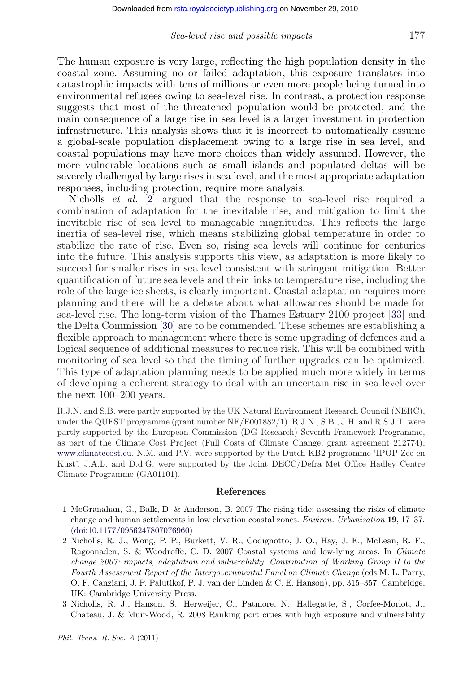<span id="page-17-0"></span>The human exposure is very large, reflecting the high population density in the coastal zone. Assuming no or failed adaptation, this exposure translates into catastrophic impacts with tens of millions or even more people being turned into environmental refugees owing to sea-level rise. In contrast, a protection response suggests that most of the threatened population would be protected, and the main consequence of a large rise in sea level is a larger investment in protection infrastructure. This analysis shows that it is incorrect to automatically assume a global-scale population displacement owing to a large rise in sea level, and coastal populations may have more choices than widely assumed. However, the more vulnerable locations such as small islands and populated deltas will be severely challenged by large rises in sea level, and the most appropriate adaptation responses, including protection, require more analysis.

Nicholls *et al.* [2] argued that the response to sea-level rise required a combination of adaptation for the inevitable rise, and mitigation to limit the inevitable rise of sea level to manageable magnitudes. This reflects the large inertia of sea-level rise, which means stabilizing global temperature in order to stabilize the rate of rise. Even so, rising sea levels will continue for centuries into the future. This analysis supports this view, as adaptation is more likely to succeed for smaller rises in sea level consistent with stringent mitigation. Better quantification of future sea levels and their links to temperature rise, including the role of the large ice sheets, is clearly important. Coastal adaptation requires more planning and there will be a debate about what allowances should be made for sea-level rise. The long-term vision of the Thames Estuary 2100 project [\[33\]](#page-19-0) and the Delta Commission [\[30\]](#page-19-0) are to be commended. These schemes are establishing a flexible approach to management where there is some upgrading of defences and a logical sequence of additional measures to reduce risk. This will be combined with monitoring of sea level so that the timing of further upgrades can be optimized. This type of adaptation planning needs to be applied much more widely in terms of developing a coherent strategy to deal with an uncertain rise in sea level over the next 100–200 years.

R.J.N. and S.B. were partly supported by the UK Natural Environment Research Council (NERC), under the QUEST programme (grant number NE/E001882/1). R.J.N., S.B., J.H. and R.S.J.T. were partly supported by the European Commission (DG Research) Seventh Framework Programme, as part of the Climate Cost Project (Full Costs of Climate Change, grant agreement 212774), [www.climatecost.eu.](http://www.climatecost.eu) N.M. and P.V. were supported by the Dutch KB2 programme 'IPOP Zee en Kust'. J.A.L. and D.d.G. were supported by the Joint DECC/Defra Met Office Hadley Centre Climate Programme (GA01101).

#### **References**

- 1 McGranahan, G., Balk, D. & Anderson, B. 2007 The rising tide: assessing the risks of climate change and human settlements in low elevation coastal zones. *Environ. Urbanisation* **19**, 17–37. [\(doi:10.1177/0956247807076960\)](http://dx.doi.org/10.1177/0956247807076960)
- 2 Nicholls, R. J., Wong, P. P., Burkett, V. R., Codignotto, J. O., Hay, J. E., McLean, R. F., Ragoonaden, S. & Woodroffe, C. D. 2007 Coastal systems and low-lying areas. In *Climate change 2007: impacts, adaptation and vulnerability*. *Contribution of Working Group II to the Fourth Assessment Report of the Intergovernmental Panel on Climate Change* (eds M. L. Parry, O. F. Canziani, J. P. Palutikof, P. J. van der Linden & C. E. Hanson), pp. 315–357. Cambridge, UK: Cambridge University Press.
- 3 Nicholls, R. J., Hanson, S., Herweijer, C., Patmore, N., Hallegatte, S., Corfee-Morlot, J., Chateau, J. & Muir-Wood, R. 2008 Ranking port cities with high exposure and vulnerability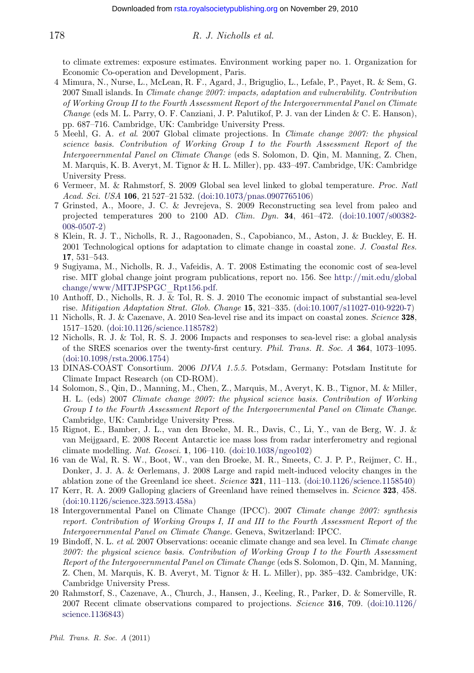to climate extremes: exposure estimates. Environment working paper no. 1. Organization for Economic Co-operation and Development, Paris.

- 4 Mimura, N., Nurse, L., McLean, R. F., Agard, J., Briguglio, L., Lefale, P., Payet, R. & Sem, G. 2007 Small islands. In *Climate change 2007: impacts, adaptation and vulnerability. Contribution of Working Group II to the Fourth Assessment Report of the Intergovernmental Panel on Climate Change* (eds M. L. Parry, O. F. Canziani, J. P. Palutikof, P. J. van der Linden & C. E. Hanson), pp. 687–716. Cambridge, UK: Cambridge University Press.
- 5 Meehl, G. A. *et al*. 2007 Global climate projections. In *Climate change 2007: the physical science basis. Contribution of Working Group I to the Fourth Assessment Report of the Intergovernmental Panel on Climate Change* (eds S. Solomon, D. Qin, M. Manning, Z. Chen, M. Marquis, K. B. Averyt, M. Tignor & H. L. Miller), pp. 433–497. Cambridge, UK: Cambridge University Press.
- 6 Vermeer, M. & Rahmstorf, S. 2009 Global sea level linked to global temperature. *Proc. Natl Acad. Sci. USA* **106**, 21 527–21 532. [\(doi:10.1073/pnas.0907765106\)](http://dx.doi.org/10.1073/pnas.0907765106)
- 7 Grinsted, A., Moore, J. C. & Jevrejeva, S. 2009 Reconstructing sea level from paleo and projected temperatures 200 to 2100 AD. *Clim. Dyn.* **34**, 461–472. [\(doi:10.1007/s00382-](http://dx.doi.org/10.1007/s00382-008-0507-2) [008-0507-2\)](http://dx.doi.org/10.1007/s00382-008-0507-2)
- 8 Klein, R. J. T., Nicholls, R. J., Ragoonaden, S., Capobianco, M., Aston, J. & Buckley, E. H. 2001 Technological options for adaptation to climate change in coastal zone. *J. Coastal Res.* **17**, 531–543.
- 9 Sugiyama, M., Nicholls, R. J., Vafeidis, A. T. 2008 Estimating the economic cost of sea-level rise. MIT global change joint program publications, report no. 156. See [http://mit.edu/global](http://mit.edu/globalchange/www/MITJPSPGC_Rpt156.pdf) [change/www/MITJPSPGC\\_Rpt156.pdf.](http://mit.edu/globalchange/www/MITJPSPGC_Rpt156.pdf)
- 10 Anthoff, D., Nicholls, R. J. & Tol, R. S. J. 2010 The economic impact of substantial sea-level rise. *Mitigation Adaptation Strat. Glob. Change* **15**, 321–335. [\(doi:10.1007/s11027-010-9220-7\)](http://dx.doi.org/10.1007/s11027-010-9220-7)
- 11 Nicholls, R. J. & Cazenave, A. 2010 Sea-level rise and its impact on coastal zones. *Science* **328**, 1517–1520. [\(doi:10.1126/science.1185782\)](http://dx.doi.org/10.1126/science.1185782)
- 12 Nicholls, R. J. & Tol, R. S. J. 2006 Impacts and responses to sea-level rise: a global analysis of the SRES scenarios over the twenty-first century. *Phil. Trans. R. Soc. A* **364**, 1073–1095. [\(doi:10.1098/rsta.2006.1754\)](http://dx.doi.org/10.1098/rsta.2006.1754)
- 13 DINAS-COAST Consortium. 2006 *DIVA 1.5.5.* Potsdam, Germany: Potsdam Institute for Climate Impact Research (on CD-ROM).
- 14 Solomon, S., Qin, D., Manning, M., Chen, Z., Marquis, M., Averyt, K. B., Tignor, M. & Miller, H. L. (eds) 2007 *Climate change 2007: the physical science basis. Contribution of Working Group I to the Fourth Assessment Report of the Intergovernmental Panel on Climate Change*. Cambridge, UK: Cambridge University Press.
- 15 Rignot, E., Bamber, J. L., van den Broeke, M. R., Davis, C., Li, Y., van de Berg, W. J. & van Meijgaard, E. 2008 Recent Antarctic ice mass loss from radar interferometry and regional climate modelling. *Nat. Geosci.* **1**, 106–110. [\(doi:10.1038/ngeo102\)](http://dx.doi.org/10.1038/ngeo102)
- 16 van de Wal, R. S. W., Boot, W., van den Broeke, M. R., Smeets, C. J. P. P., Reijmer, C. H., Donker, J. J. A. & Oerlemans, J. 2008 Large and rapid melt-induced velocity changes in the ablation zone of the Greenland ice sheet. *Science* **321**, 111–113. [\(doi:10.1126/science.1158540\)](http://dx.doi.org/10.1126/science.1158540)
- 17 Kerr, R. A. 2009 Galloping glaciers of Greenland have reined themselves in. *Science* **323**, 458. [\(doi:10.1126/science.323.5913.458a\)](http://dx.doi.org/10.1126/science.323.5913.458a)
- 18 Intergovernmental Panel on Climate Change (IPCC). 2007 *Climate change 2007: synthesis report. Contribution of Working Groups I, II and III to the Fourth Assessment Report of the Intergovernmental Panel on Climate Change.* Geneva, Switzerland: IPCC.
- 19 Bindoff, N. L. *et al*. 2007 Observations: oceanic climate change and sea level. In *Climate change 2007: the physical science basis. Contribution of Working Group I to the Fourth Assessment Report of the Intergovernmental Panel on Climate Change* (eds S. Solomon, D. Qin, M. Manning, Z. Chen, M. Marquis, K. B. Averyt, M. Tignor & H. L. Miller), pp. 385–432. Cambridge, UK: Cambridge University Press.
- 20 Rahmstorf, S., Cazenave, A., Church, J., Hansen, J., Keeling, R., Parker, D. & Somerville, R. 2007 Recent climate observations compared to projections. *Science* **316**, 709. [\(doi:10.1126/](http://dx.doi.org/10.1126/science.1136843) [science.1136843\)](http://dx.doi.org/10.1126/science.1136843)

<span id="page-18-0"></span>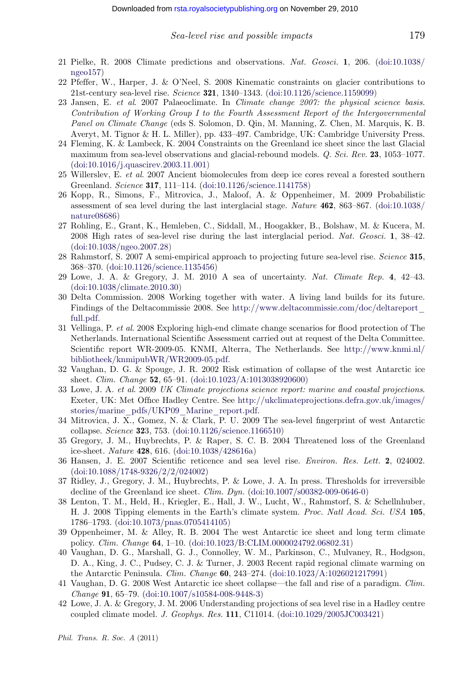- <span id="page-19-0"></span>22 Pfeffer, W., Harper, J. & O'Neel, S. 2008 Kinematic constraints on glacier contributions to 21st-century sea-level rise. *Science* **321**, 1340–1343. [\(doi:10.1126/science.1159099\)](http://dx.doi.org/10.1126/science.1159099)
- 23 Jansen, E. *et al*. 2007 Palaeoclimate. In *Climate change 2007: the physical science basis. Contribution of Working Group I to the Fourth Assessment Report of the Intergovernmental Panel on Climate Change* (eds S. Solomon, D. Qin, M. Manning, Z. Chen, M. Marquis, K. B. Averyt, M. Tignor & H. L. Miller), pp. 433–497. Cambridge, UK: Cambridge University Press.
- 24 Fleming, K. & Lambeck, K. 2004 Constraints on the Greenland ice sheet since the last Glacial maximum from sea-level observations and glacial-rebound models. *Q. Sci. Rev.* **23**, 1053–1077. [\(doi:10.1016/j.quascirev.2003.11.001\)](http://dx.doi.org/10.1016/j.quascirev.2003.11.001)
- 25 Willerslev, E. *et al*. 2007 Ancient biomolecules from deep ice cores reveal a forested southern Greenland. *Science* **317**, 111–114. [\(doi:10.1126/science.1141758\)](http://dx.doi.org/10.1126/science.1141758)
- 26 Kopp, R., Simons, F., Mitrovica, J., Maloof, A. & Oppenheimer, M. 2009 Probabilistic assessment of sea level during the last interglacial stage. *Nature* **462**, 863–867. [\(doi:10.1038/](http://dx.doi.org/10.1038/nature08686) [nature08686\)](http://dx.doi.org/10.1038/nature08686)
- 27 Rohling, E., Grant, K., Hemleben, C., Siddall, M., Hoogakker, B., Bolshaw, M. & Kucera, M. 2008 High rates of sea-level rise during the last interglacial period. *Nat. Geosci.* **1**, 38–42. [\(doi:10.1038/ngeo.2007.28\)](http://dx.doi.org/10.1038/ngeo.2007.28)
- 28 Rahmstorf, S. 2007 A semi-empirical approach to projecting future sea-level rise. *Science* **315**, 368–370. [\(doi:10.1126/science.1135456\)](http://dx.doi.org/10.1126/science.1135456)
- 29 Lowe, J. A. & Gregory, J. M. 2010 A sea of uncertainty. *Nat. Climate Rep.* **4**, 42–43. [\(doi:10.1038/climate.2010.30\)](http://dx.doi.org/10.1038/climate.2010.30)
- 30 Delta Commission. 2008 Working together with water. A living land builds for its future. Findings of the Deltacommissie 2008. See [http://www.deltacommissie.com/doc/deltareport\\_](http://www.deltacommissie.com/doc/deltareport_full.pdf) [full.pdf.](http://www.deltacommissie.com/doc/deltareport_full.pdf)
- 31 Vellinga, P. *et al*. 2008 Exploring high-end climate change scenarios for flood protection of The Netherlands. International Scientific Assessment carried out at request of the Delta Committee. Scientific report WR-2009-05. KNMI, Alterra, The Netherlands. See [http://www.knmi.nl/](http://www.knmi.nl/bibliotheek/knmipubWR/WR2009-05.pdf) [bibliotheek/knmipubWR/WR2009-05.pdf.](http://www.knmi.nl/bibliotheek/knmipubWR/WR2009-05.pdf)
- 32 Vaughan, D. G. & Spouge, J. R. 2002 Risk estimation of collapse of the west Antarctic ice sheet. *Clim. Change* **52**, 65–91. [\(doi:10.1023/A:1013038920600\)](http://dx.doi.org/10.1023/A:1013038920600)
- 33 Lowe, J. A. *et al*. 2009 *UK Climate projections science report: marine and coastal projections*. Exeter, UK: Met Office Hadley Centre. See [http://ukclimateprojections.defra.gov.uk/images/](http://ukclimateprojections.defra.gov.uk/images/stories/marine_pdfs/UKP09_Marine_report.pdf) [stories/marine\\_pdfs/UKP09\\_Marine\\_report.pdf.](http://ukclimateprojections.defra.gov.uk/images/stories/marine_pdfs/UKP09_Marine_report.pdf)
- 34 Mitrovica, J. X., Gomez, N. & Clark, P. U. 2009 The sea-level fingerprint of west Antarctic collapse. *Science* **32**3, 753. [\(doi:10.1126/science.1166510\)](http://dx.doi.org/10.1126/science.1166510)
- 35 Gregory, J. M., Huybrechts, P. & Raper, S. C. B. 2004 Threatened loss of the Greenland ice-sheet. *Nature* **428**, 616. [\(doi:10.1038/428616a\)](http://dx.doi.org/10.1038/428616a)
- 36 Hansen, J. E. 2007 Scientific reticence and sea level rise. *Environ. Res. Lett.* **2**, 024002. [\(doi:10.1088/1748-9326/2/2/024002\)](http://dx.doi.org/10.1088/1748-9326/2/2/024002)
- 37 Ridley, J., Gregory, J. M., Huybrechts, P. & Lowe, J. A. In press. Thresholds for irreversible decline of the Greenland ice sheet. *Clim. Dyn.* [\(doi:10.1007/s00382-009-0646-0\)](http://dx.doi.org/10.1007/s00382-009-0646-0)
- 38 Lenton, T. M., Held, H., Kriegler, E., Hall, J. W., Lucht, W., Rahmstorf, S. & Schellnhuber, H. J. 2008 Tipping elements in the Earth's climate system. *Proc. Natl Acad. Sci. USA* **105**, 1786–1793. [\(doi:10.1073/pnas.0705414105\)](http://dx.doi.org/10.1073/pnas.0705414105)
- 39 Oppenheimer, M. & Alley, R. B. 2004 The west Antarctic ice sheet and long term climate policy. *Clim. Change* **64**, 1–10. [\(doi:10.1023/B:CLIM.0000024792.06802.31\)](http://dx.doi.org/10.1023/B:CLIM.0000024792.06802.31)
- 40 Vaughan, D. G., Marshall, G. J., Connolley, W. M., Parkinson, C., Mulvaney, R., Hodgson, D. A., King, J. C., Pudsey, C. J. & Turner, J. 2003 Recent rapid regional climate warming on the Antarctic Peninsula. *Clim. Change* **60**, 243–274. [\(doi:10.1023/A:1026021217991\)](http://dx.doi.org/10.1023/A:1026021217991)
- 41 Vaughan, D. G. 2008 West Antarctic ice sheet collapse—the fall and rise of a paradigm. *Clim. Change* **91**, 65–79. [\(doi:10.1007/s10584-008-9448-3\)](http://dx.doi.org/10.1007/s10584-008-9448-3)
- 42 Lowe, J. A. & Gregory, J. M. 2006 Understanding projections of sea level rise in a Hadley centre coupled climate model. *J. Geophys. Res.* **111**, C11014. [\(doi:10.1029/2005JC003421\)](http://dx.doi.org/10.1029/2005JC003421)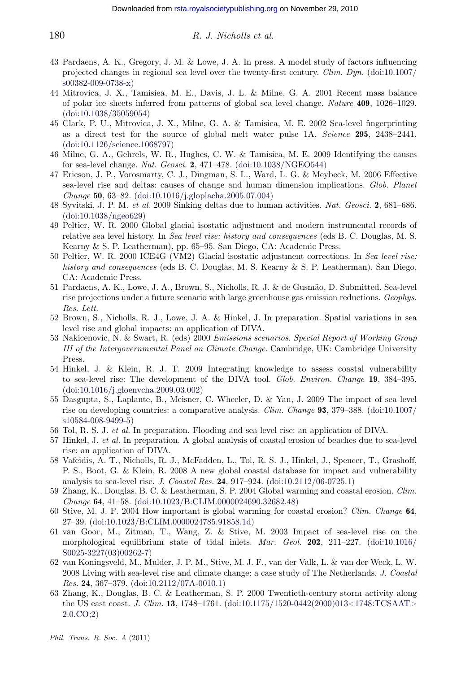- 43 Pardaens, A. K., Gregory, J. M. & Lowe, J. A. In press. A model study of factors influencing projected changes in regional sea level over the twenty-first century. *Clim. Dyn.* [\(doi:10.1007/](http://dx.doi.org/10.1007/s00382-009-0738-x) [s00382-009-0738-x\)](http://dx.doi.org/10.1007/s00382-009-0738-x)
- 44 Mitrovica, J. X., Tamisiea, M. E., Davis, J. L. & Milne, G. A. 2001 Recent mass balance of polar ice sheets inferred from patterns of global sea level change. *Nature* **409**, 1026–1029. [\(doi:10.1038/35059054\)](http://dx.doi.org/10.1038/35059054)
- 45 Clark, P. U., Mitrovica, J. X., Milne, G. A. & Tamisiea, M. E. 2002 Sea-level fingerprinting as a direct test for the source of global melt water pulse 1A. *Science* **295**, 2438–2441. [\(doi:10.1126/science.1068797\)](http://dx.doi.org/10.1126/science.1068797)
- 46 Milne, G. A., Gehrels, W. R., Hughes, C. W. & Tamisiea, M. E. 2009 Identifying the causes for sea-level change. *Nat. Geosci.* **2**, 471–478. [\(doi:10.1038/NGEO544\)](http://dx.doi.org/10.1038/NGEO544)
- 47 Ericson, J. P., Vorosmarty, C. J., Dingman, S. L., Ward, L. G. & Meybeck, M. 2006 Effective sea-level rise and deltas: causes of change and human dimension implications. *Glob. Planet Change* **50**, 63–82. [\(doi:10.1016/j.gloplacha.2005.07.004\)](http://dx.doi.org/10.1016/j.gloplacha.2005.07.004)
- 48 Syvitski, J. P. M. *et al*. 2009 Sinking deltas due to human activities. *Nat. Geosci.* **2**, 681–686. [\(doi:10.1038/ngeo629\)](http://dx.doi.org/10.1038/ngeo629)
- 49 Peltier, W. R. 2000 Global glacial isostatic adjustment and modern instrumental records of relative sea level history. In *Sea level rise: history and consequences* (eds B. C. Douglas, M. S. Kearny & S. P. Leatherman), pp. 65–95. San Diego, CA: Academic Press.
- 50 Peltier, W. R. 2000 ICE4G (VM2) Glacial isostatic adjustment corrections. In *Sea level rise: history and consequences* (eds B. C. Douglas, M. S. Kearny & S. P. Leatherman). San Diego, CA: Academic Press.
- 51 Pardaens, A. K., Lowe, J. A., Brown, S., Nicholls, R. J. & de Gusmão, D. Submitted. Sea-level rise projections under a future scenario with large greenhouse gas emission reductions. *Geophys. Res. Lett*.
- 52 Brown, S., Nicholls, R. J., Lowe, J. A. & Hinkel, J. In preparation. Spatial variations in sea level rise and global impacts: an application of DIVA.
- 53 Nakicenovic, N. & Swart, R. (eds) 2000 *Emissions scenarios. Special Report of Working Group III of the Intergovernmental Panel on Climate Change*. Cambridge, UK: Cambridge University Press.
- 54 Hinkel, J. & Klein, R. J. T. 2009 Integrating knowledge to assess coastal vulnerability to sea-level rise: The development of the DIVA tool. *Glob. Environ. Change* **19**, 384–395. [\(doi:10.1016/j.gloenvcha.2009.03.002\)](http://dx.doi.org/10.1016/j.gloenvcha.2009.03.002)
- 55 Dasgupta, S., Laplante, B., Meisner, C. Wheeler, D. & Yan, J. 2009 The impact of sea level rise on developing countries: a comparative analysis. *Clim. Change* **93**, 379–388. [\(doi:10.1007/](http://dx.doi.org/10.1007/s10584-008-9499-5) [s10584-008-9499-5\)](http://dx.doi.org/10.1007/s10584-008-9499-5)
- 56 Tol, R. S. J. *et al.* In preparation. Flooding and sea level rise: an application of DIVA.
- 57 Hinkel, J. *et al.* In preparation. A global analysis of coastal erosion of beaches due to sea-level rise: an application of DIVA.
- 58 Vafeidis, A. T., Nicholls, R. J., McFadden, L., Tol, R. S. J., Hinkel, J., Spencer, T., Grashoff, P. S., Boot, G. & Klein, R. 2008 A new global coastal database for impact and vulnerability analysis to sea-level rise. *J. Coastal Res.* **24**, 917–924. [\(doi:10.2112/06-0725.1\)](http://dx.doi.org/10.2112/06-0725.1)
- 59 Zhang, K., Douglas, B. C. & Leatherman, S. P. 2004 Global warming and coastal erosion. *Clim. Change* **64**, 41–58. [\(doi:10.1023/B:CLIM.0000024690.32682.48\)](http://dx.doi.org/10.1023/B:CLIM.0000024690.32682.48)
- 60 Stive, M. J. F. 2004 How important is global warming for coastal erosion? *Clim. Change* **64**, 27–39. [\(doi:10.1023/B:CLIM.0000024785.91858.1d\)](http://dx.doi.org/10.1023/B:CLIM.0000024785.91858.1d)
- 61 van Goor, M., Zitman, T., Wang, Z. & Stive, M. 2003 Impact of sea-level rise on the morphological equilibrium state of tidal inlets. *Mar. Geol.* **202**, 211–227. [\(doi:10.1016/](http://dx.doi.org/10.1016/S0025-3227(03)00262-7) [S0025-3227\(03\)00262-7\)](http://dx.doi.org/10.1016/S0025-3227(03)00262-7)
- 62 van Koningsveld, M., Mulder, J. P. M., Stive, M. J. F., van der Valk, L. & van der Weck, L. W. 2008 Living with sea-level rise and climate change: a case study of The Netherlands. *J. Coastal Res.* **24**, 367–379. [\(doi:10.2112/07A-0010.1\)](http://dx.doi.org/10.2112/07A-0010.1)
- 63 Zhang, K., Douglas, B. C. & Leatherman, S. P. 2000 Twentieth-century storm activity along the US east coast. *J. Clim.* **13**, 1748–1761. [\(doi:10.1175/1520-0442\(2000\)013<1748:TCSAAT>](http://dx.doi.org/10.1175/1520-0442(2000)013<1748:TCSAAT>2.0.CO;2) [2.0.CO;2\)](http://dx.doi.org/10.1175/1520-0442(2000)013<1748:TCSAAT>2.0.CO;2)

<span id="page-20-0"></span>